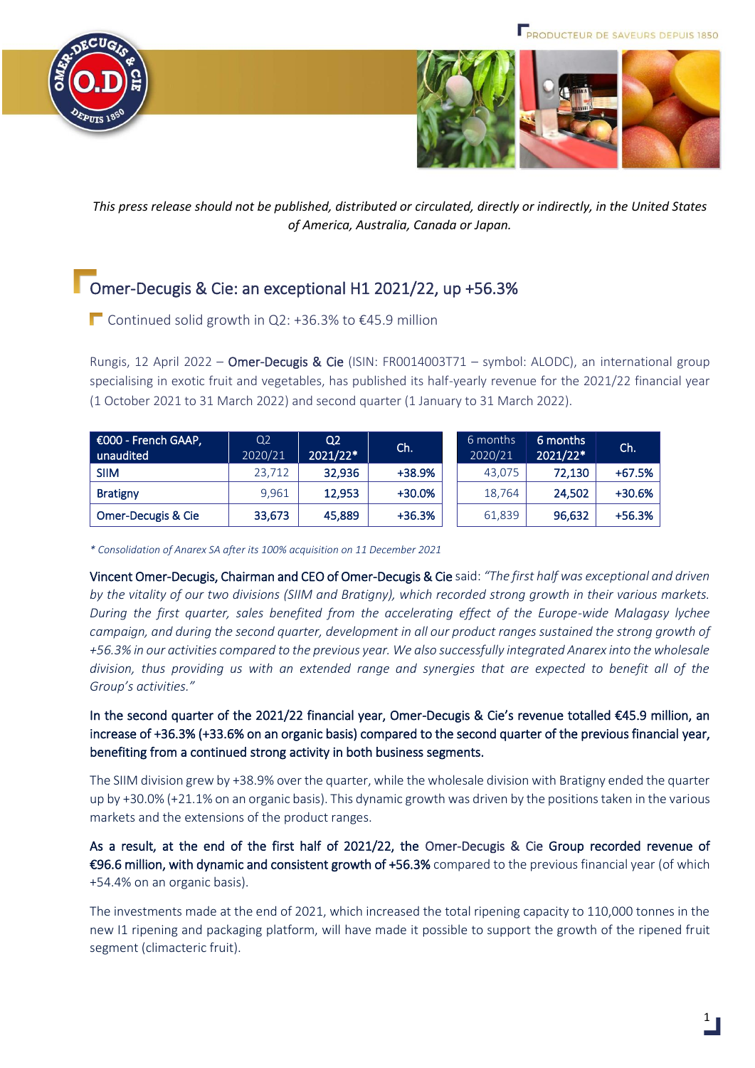



*This press release should not be published, distributed or circulated, directly or indirectly, in the United States of America, Australia, Canada or Japan.*

# Omer-Decugis & Cie: an exceptional H1 2021/22, up +56.3%

■ Continued solid growth in Q2: +36.3% to €45.9 million

Rungis, 12 April 2022 – Omer-Decugis & Cie (ISIN: FR0014003T71 – symbol: ALODC), an international group specialising in exotic fruit and vegetables, has published its half-yearly revenue for the 2021/22 financial year (1 October 2021 to 31 March 2022) and second quarter (1 January to 31 March 2022).

| E000 - French GAAP,<br>unaudited | Q <sub>2</sub><br>2020/21 | Q <sub>2</sub><br>2021/22* | Ch.    | 6 months<br>2020/21 | 6 months<br>2021/22* | Ch.      |
|----------------------------------|---------------------------|----------------------------|--------|---------------------|----------------------|----------|
| <b>SIIM</b>                      | 23.712                    | 32,936                     | +38.9% | 43.075              | 72,130               | $+67.5%$ |
| <b>Bratigny</b>                  | 9,961                     | 12.953                     | +30.0% | 18,764              | 24.502               | +30.6%   |
| Omer-Decugis & Cie               | 33,673                    | 45,889                     | +36.3% | 61.839              | 96,632               | $+56.3%$ |

*\* Consolidation of Anarex SA after its 100% acquisition on 11 December 2021*

Vincent Omer-Decugis, Chairman and CEO of Omer-Decugis & Cie said: *"The first half was exceptional and driven by the vitality of our two divisions (SIIM and Bratigny), which recorded strong growth in their various markets. During the first quarter, sales benefited from the accelerating effect of the Europe-wide Malagasy lychee campaign, and during the second quarter, development in all our product ranges sustained the strong growth of +56.3% in our activities compared to the previous year. We also successfully integrated Anarex into the wholesale division, thus providing us with an extended range and synergies that are expected to benefit all of the Group's activities."* 

In the second quarter of the 2021/22 financial year, Omer-Decugis & Cie's revenue totalled €45.9 million, an increase of +36.3% (+33.6% on an organic basis) compared to the second quarter of the previous financial year, benefiting from a continued strong activity in both business segments.

The SIIM division grew by +38.9% over the quarter, while the wholesale division with Bratigny ended the quarter up by +30.0% (+21.1% on an organic basis). This dynamic growth was driven by the positions taken in the various markets and the extensions of the product ranges.

As a result, at the end of the first half of 2021/22, the Omer-Decugis & Cie Group recorded revenue of €96.6 million, with dynamic and consistent growth of +56.3% compared to the previous financial year (of which +54.4% on an organic basis).

The investments made at the end of 2021, which increased the total ripening capacity to 110,000 tonnes in the new I1 ripening and packaging platform, will have made it possible to support the growth of the ripened fruit segment (climacteric fruit).